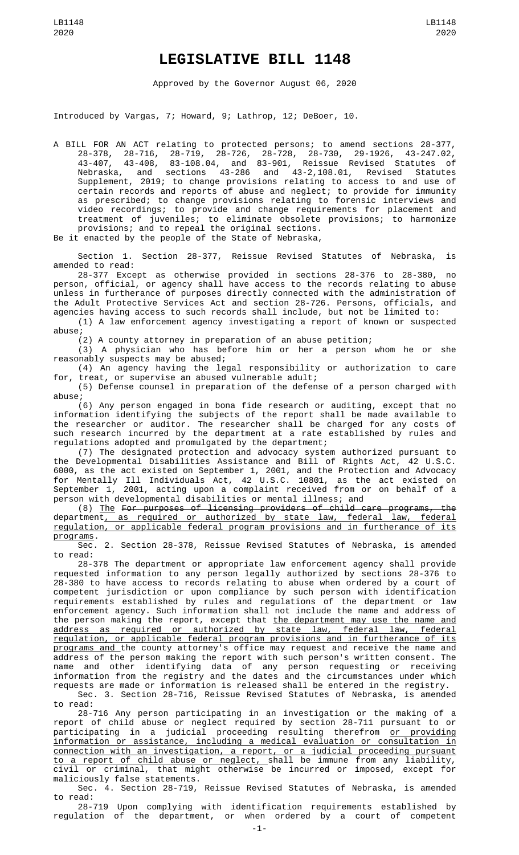## **LEGISLATIVE BILL 1148**

Approved by the Governor August 06, 2020

Introduced by Vargas, 7; Howard, 9; Lathrop, 12; DeBoer, 10.

A BILL FOR AN ACT relating to protected persons; to amend sections 28-377, 28-378, 28-716, 28-719, 28-726, 28-728, 28-730, 29-1926, 43-247.02, 43-407, 43-408, 83-108.04, and 83-901, Reissue Revised Statutes of Nebraska, and sections 43-286 and 43-2,108.01, Revised Statutes Nebraska, and sections 43-286 and 43-2,108.01, Revised Statutes<br>Supplement, 2019; to change provisions relating to access to and use of certain records and reports of abuse and neglect; to provide for immunity as prescribed; to change provisions relating to forensic interviews and video recordings; to provide and change requirements for placement and treatment of juveniles; to eliminate obsolete provisions; to harmonize provisions; and to repeal the original sections.

Be it enacted by the people of the State of Nebraska,

Section 1. Section 28-377, Reissue Revised Statutes of Nebraska, is amended to read:

28-377 Except as otherwise provided in sections 28-376 to 28-380, no person, official, or agency shall have access to the records relating to abuse unless in furtherance of purposes directly connected with the administration of the Adult Protective Services Act and section 28-726. Persons, officials, and agencies having access to such records shall include, but not be limited to:

(1) A law enforcement agency investigating a report of known or suspected abuse;

(2) A county attorney in preparation of an abuse petition;

(3) A physician who has before him or her a person whom he or she reasonably suspects may be abused;

(4) An agency having the legal responsibility or authorization to care for, treat, or supervise an abused vulnerable adult;

(5) Defense counsel in preparation of the defense of a person charged with abuse;

(6) Any person engaged in bona fide research or auditing, except that no information identifying the subjects of the report shall be made available to the researcher or auditor. The researcher shall be charged for any costs of such research incurred by the department at a rate established by rules and regulations adopted and promulgated by the department;

(7) The designated protection and advocacy system authorized pursuant to the Developmental Disabilities Assistance and Bill of Rights Act, 42 U.S.C. 6000, as the act existed on September 1, 2001, and the Protection and Advocacy for Mentally Ill Individuals Act, 42 U.S.C. 10801, as the act existed on September 1, 2001, acting upon a complaint received from or on behalf of a person with developmental disabilities or mental illness; and

(8) The For purposes of licensing providers of child care programs, the department, as required or authorized by state law, federal law, federal regulation, or applicable federal program provisions and in furtherance of its programs.

Sec. 2. Section 28-378, Reissue Revised Statutes of Nebraska, is amended to read:

28-378 The department or appropriate law enforcement agency shall provide requested information to any person legally authorized by sections 28-376 to 28-380 to have access to records relating to abuse when ordered by a court of competent jurisdiction or upon compliance by such person with identification requirements established by rules and regulations of the department or law enforcement agency. Such information shall not include the name and address of the person making the report, except that <u>the department may use the name and</u> address as required or authorized by state law, federal law, federal regulation, or applicable federal program provisions and in furtherance of its programs and the county attorney's office may request and receive the name and address of the person making the report with such person's written consent. The name and other identifying data of any person requesting or receiving information from the registry and the dates and the circumstances under which requests are made or information is released shall be entered in the registry. Sec. 3. Section 28-716, Reissue Revised Statutes of Nebraska, is amended

to read: 28-716 Any person participating in an investigation or the making of a report of child abuse or neglect required by section 28-711 pursuant to or participating in a judicial proceeding resulting therefrom or providing information or assistance, including a medical evaluation or consultation in connection with an investigation, a report, or a judicial proceeding pursuant to a report of child abuse or neglect, shall be immune from any liability,

civil or criminal, that might otherwise be incurred or imposed, except for maliciously false statements.

Sec. 4. Section 28-719, Reissue Revised Statutes of Nebraska, is amended to read:

28-719 Upon complying with identification requirements established by regulation of the department, or when ordered by a court of competent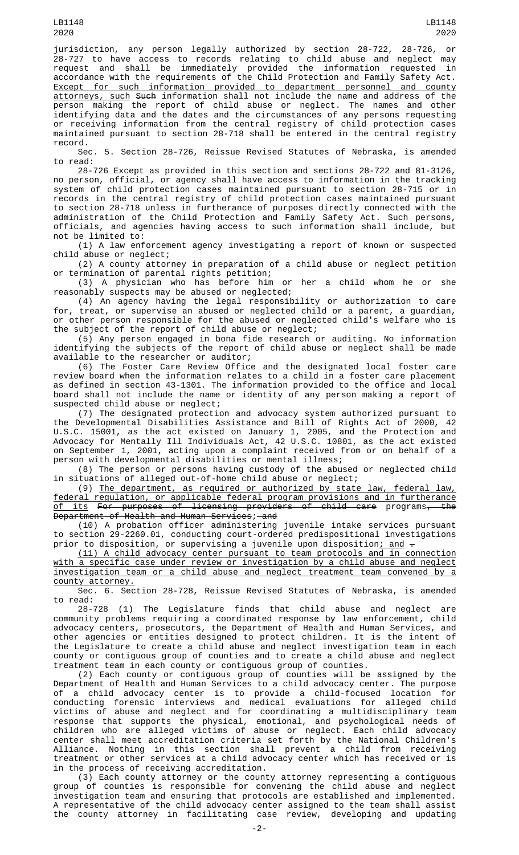jurisdiction, any person legally authorized by section 28-722, 28-726, or 28-727 to have access to records relating to child abuse and neglect may request and shall be immediately provided the information requested in accordance with the requirements of the Child Protection and Family Safety Act. Except for such information provided to department personnel and county <u>attorneys, such</u> S<del>uch</del> information shall not include the name and address of the person making the report of child abuse or neglect. The names and other identifying data and the dates and the circumstances of any persons requesting or receiving information from the central registry of child protection cases maintained pursuant to section 28-718 shall be entered in the central registry record.

Sec. 5. Section 28-726, Reissue Revised Statutes of Nebraska, is amended to read:

28-726 Except as provided in this section and sections 28-722 and 81-3126, no person, official, or agency shall have access to information in the tracking system of child protection cases maintained pursuant to section 28-715 or in records in the central registry of child protection cases maintained pursuant to section 28-718 unless in furtherance of purposes directly connected with the administration of the Child Protection and Family Safety Act. Such persons, officials, and agencies having access to such information shall include, but not be limited to:

(1) A law enforcement agency investigating a report of known or suspected child abuse or neglect;

(2) A county attorney in preparation of a child abuse or neglect petition or termination of parental rights petition;

(3) A physician who has before him or her a child whom he or she reasonably suspects may be abused or neglected;

(4) An agency having the legal responsibility or authorization to care for, treat, or supervise an abused or neglected child or a parent, a guardian, or other person responsible for the abused or neglected child's welfare who is the subject of the report of child abuse or neglect;

(5) Any person engaged in bona fide research or auditing. No information identifying the subjects of the report of child abuse or neglect shall be made available to the researcher or auditor;

(6) The Foster Care Review Office and the designated local foster care review board when the information relates to a child in a foster care placement as defined in section 43-1301. The information provided to the office and local board shall not include the name or identity of any person making a report of suspected child abuse or neglect;

(7) The designated protection and advocacy system authorized pursuant to the Developmental Disabilities Assistance and Bill of Rights Act of 2000, 42 U.S.C. 15001, as the act existed on January 1, 2005, and the Protection and Advocacy for Mentally Ill Individuals Act, 42 U.S.C. 10801, as the act existed on September 1, 2001, acting upon a complaint received from or on behalf of a person with developmental disabilities or mental illness;

(8) The person or persons having custody of the abused or neglected child in situations of alleged out-of-home child abuse or neglect;

(9) The department, as required or authorized by state law, federal law, federal regulation, or applicable federal program provisions and in furtherance <u>of its</u> <del>For purposes of licensing providers of child care</del> programs<del>, the</del> Department of Health and Human Services; and

(10) A probation officer administering juvenile intake services pursuant to section 29-2260.01, conducting court-ordered predispositional investigations prior to disposition, or supervising a juvenile upon disposition; and -

(11) A child advocacy center pursuant to team protocols and in connection with a specific case under review or investigation by a child abuse and neglect investigation team or a child abuse and neglect treatment team convened by a county attorney.

Sec. 6. Section 28-728, Reissue Revised Statutes of Nebraska, is amended to read:

28-728 (1) The Legislature finds that child abuse and neglect are community problems requiring a coordinated response by law enforcement, child advocacy centers, prosecutors, the Department of Health and Human Services, and other agencies or entities designed to protect children. It is the intent of the Legislature to create a child abuse and neglect investigation team in each county or contiguous group of counties and to create a child abuse and neglect treatment team in each county or contiguous group of counties.

(2) Each county or contiguous group of counties will be assigned by the Department of Health and Human Services to a child advocacy center. The purpose of a child advocacy center is to provide a child-focused location for conducting forensic interviews and medical evaluations for alleged child victims of abuse and neglect and for coordinating a multidisciplinary team response that supports the physical, emotional, and psychological needs of children who are alleged victims of abuse or neglect. Each child advocacy center shall meet accreditation criteria set forth by the National Children's Alliance. Nothing in this section shall prevent a child from receiving treatment or other services at a child advocacy center which has received or is in the process of receiving accreditation.

(3) Each county attorney or the county attorney representing a contiguous group of counties is responsible for convening the child abuse and neglect investigation team and ensuring that protocols are established and implemented. A representative of the child advocacy center assigned to the team shall assist the county attorney in facilitating case review, developing and updating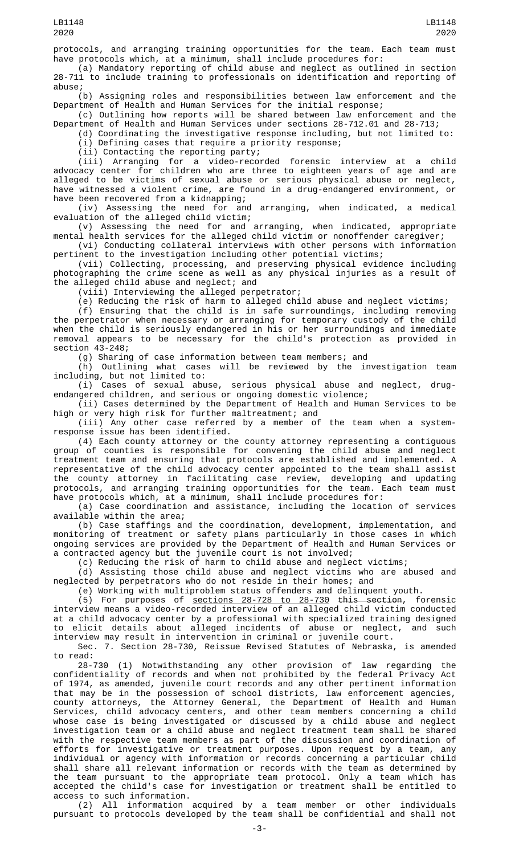protocols, and arranging training opportunities for the team. Each team must have protocols which, at a minimum, shall include procedures for:

(a) Mandatory reporting of child abuse and neglect as outlined in section 28-711 to include training to professionals on identification and reporting of abuse;

(b) Assigning roles and responsibilities between law enforcement and the Department of Health and Human Services for the initial response;

(c) Outlining how reports will be shared between law enforcement and the Department of Health and Human Services under sections 28-712.01 and 28-713;

(d) Coordinating the investigative response including, but not limited to: (i) Defining cases that require a priority response;

(ii) Contacting the reporting party;

(iii) Arranging for a video-recorded forensic interview at a child advocacy center for children who are three to eighteen years of age and are alleged to be victims of sexual abuse or serious physical abuse or neglect, have witnessed a violent crime, are found in a drug-endangered environment, or have been recovered from a kidnapping;

(iv) Assessing the need for and arranging, when indicated, a medical evaluation of the alleged child victim;

(v) Assessing the need for and arranging, when indicated, appropriate mental health services for the alleged child victim or nonoffender caregiver;

(vi) Conducting collateral interviews with other persons with information pertinent to the investigation including other potential victims;

(vii) Collecting, processing, and preserving physical evidence including photographing the crime scene as well as any physical injuries as a result of the alleged child abuse and neglect; and

(viii) Interviewing the alleged perpetrator;

(e) Reducing the risk of harm to alleged child abuse and neglect victims;

(f) Ensuring that the child is in safe surroundings, including removing the perpetrator when necessary or arranging for temporary custody of the child when the child is seriously endangered in his or her surroundings and immediate removal appears to be necessary for the child's protection as provided in section 43-248;

(g) Sharing of case information between team members; and

(h) Outlining what cases will be reviewed by the investigation team including, but not limited to:

(i) Cases of sexual abuse, serious physical abuse and neglect, drugendangered children, and serious or ongoing domestic violence;

(ii) Cases determined by the Department of Health and Human Services to be high or very high risk for further maltreatment; and

(iii) Any other case referred by a member of the team when a systemresponse issue has been identified.

(4) Each county attorney or the county attorney representing a contiguous group of counties is responsible for convening the child abuse and neglect treatment team and ensuring that protocols are established and implemented. A representative of the child advocacy center appointed to the team shall assist the county attorney in facilitating case review, developing and updating protocols, and arranging training opportunities for the team. Each team must have protocols which, at a minimum, shall include procedures for:

(a) Case coordination and assistance, including the location of services available within the area;

(b) Case staffings and the coordination, development, implementation, and monitoring of treatment or safety plans particularly in those cases in which ongoing services are provided by the Department of Health and Human Services or a contracted agency but the juvenile court is not involved;

(c) Reducing the risk of harm to child abuse and neglect victims;

(d) Assisting those child abuse and neglect victims who are abused and neglected by perpetrators who do not reside in their homes; and

(e) Working with multiproblem status offenders and delinquent youth.

(5) For purposes of sections 28-728 to 28-730 this section, forensic interview means a video-recorded interview of an alleged child victim conducted at a child advocacy center by a professional with specialized training designed to elicit details about alleged incidents of abuse or neglect, and such interview may result in intervention in criminal or juvenile court.

Sec. 7. Section 28-730, Reissue Revised Statutes of Nebraska, is amended to read:

28-730 (1) Notwithstanding any other provision of law regarding the confidentiality of records and when not prohibited by the federal Privacy Act of 1974, as amended, juvenile court records and any other pertinent information that may be in the possession of school districts, law enforcement agencies, county attorneys, the Attorney General, the Department of Health and Human Services, child advocacy centers, and other team members concerning a child whose case is being investigated or discussed by a child abuse and neglect investigation team or a child abuse and neglect treatment team shall be shared with the respective team members as part of the discussion and coordination of efforts for investigative or treatment purposes. Upon request by a team, any individual or agency with information or records concerning a particular child shall share all relevant information or records with the team as determined by the team pursuant to the appropriate team protocol. Only a team which has accepted the child's case for investigation or treatment shall be entitled to access to such information.

(2) All information acquired by a team member or other individuals pursuant to protocols developed by the team shall be confidential and shall not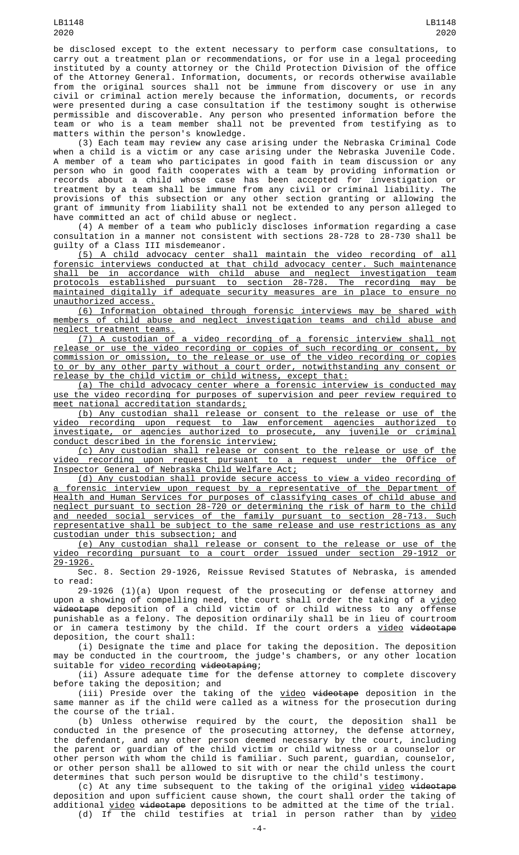be disclosed except to the extent necessary to perform case consultations, to carry out a treatment plan or recommendations, or for use in a legal proceeding instituted by a county attorney or the Child Protection Division of the office of the Attorney General. Information, documents, or records otherwise available from the original sources shall not be immune from discovery or use in any civil or criminal action merely because the information, documents, or records were presented during a case consultation if the testimony sought is otherwise permissible and discoverable. Any person who presented information before the team or who is a team member shall not be prevented from testifying as to matters within the person's knowledge.

(3) Each team may review any case arising under the Nebraska Criminal Code when a child is a victim or any case arising under the Nebraska Juvenile Code. A member of a team who participates in good faith in team discussion or any person who in good faith cooperates with a team by providing information or records about a child whose case has been accepted for investigation or treatment by a team shall be immune from any civil or criminal liability. The provisions of this subsection or any other section granting or allowing the grant of immunity from liability shall not be extended to any person alleged to have committed an act of child abuse or neglect.

(4) A member of a team who publicly discloses information regarding a case consultation in a manner not consistent with sections 28-728 to 28-730 shall be guilty of a Class III misdemeanor.

(5) A child advocacy center shall maintain the video recording of all forensic interviews conducted at that child advocacy center. Such maintenance shall be in accordance with child abuse and neglect investigation team protocols established pursuant to section 28-728. The recording may be maintained digitally if adequate security measures are in place to ensure no unauthorized access.

(6) Information obtained through forensic interviews may be shared with members of child abuse and neglect investigation teams and child abuse and neglect treatment teams.

(7) A custodian of a video recording of a forensic interview shall not release or use the video recording or copies of such recording or consent, by commission or omission, to the release or use of the video recording or copies to or by any other party without a court order, notwithstanding any consent or release by the child victim or child witness, except that:

(a) The child advocacy center where a forensic interview is conducted may use the video recording for purposes of supervision and peer review required to meet national accreditation standards;

(b) Any custodian shall release or consent to the release or use of the video recording upon request to law enforcement agencies authorized to investigate, or agencies authorized to prosecute, any juvenile or criminal conduct described in the forensic interview;

(c) Any custodian shall release or consent to the release or use of the video recording upon request pursuant to a request under the Office of Inspector General of Nebraska Child Welfare Act;

(d) Any custodian shall provide secure access to view a video recording of a forensic interview upon request by a representative of the Department of Health and Human Services for purposes of classifying cases of child abuse and neglect pursuant to section 28-720 or determining the risk of harm to the child and needed social services of the family pursuant to section 28-713. Such representative shall be subject to the same release and use restrictions as any custodian under this subsection; and

(e) Any custodian shall release or consent to the release or use of the video recording pursuant to a court order issued under section 29-1912 or 29-1926.

Sec. 8. Section 29-1926, Reissue Revised Statutes of Nebraska, is amended to read:

29-1926 (1)(a) Upon request of the prosecuting or defense attorney and upon a showing of compelling need, the court shall order the taking of a <u>video</u> videotape deposition of a child victim of or child witness to any offense punishable as a felony. The deposition ordinarily shall be in lieu of courtroom or in camera testimony by the child. If the court orders a <u>video</u> <del>videotape</del> deposition, the court shall:

(i) Designate the time and place for taking the deposition. The deposition may be conducted in the courtroom, the judge's chambers, or any other location suitable for <u>video recording</u> <del>videotaping</del>;

(ii) Assure adequate time for the defense attorney to complete discovery before taking the deposition; and

(iii) Preside over the taking of the <u>video</u> <del>videotape</del> deposition in the same manner as if the child were called as a  $\overline{w}$  witness for the prosecution during the course of the trial.

(b) Unless otherwise required by the court, the deposition shall be conducted in the presence of the prosecuting attorney, the defense attorney, the defendant, and any other person deemed necessary by the court, including the parent or guardian of the child victim or child witness or a counselor or other person with whom the child is familiar. Such parent, guardian, counselor, or other person shall be allowed to sit with or near the child unless the court determines that such person would be disruptive to the child's testimony.

(c) At any time subsequent to the taking of the original <u>video</u> <del>videotape</del> deposition and upon sufficient cause shown, the court shall order the taking of additional <u>video</u> videotape depositions to be admitted at the time of the trial. (d) If the child testifies at trial in person rather than by video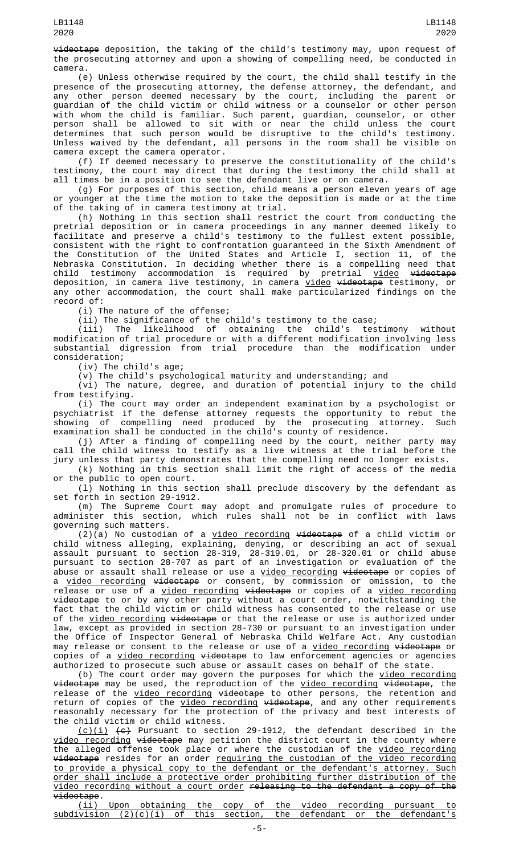videotape deposition, the taking of the child's testimony may, upon request of the prosecuting attorney and upon a showing of compelling need, be conducted in camera.

(e) Unless otherwise required by the court, the child shall testify in the presence of the prosecuting attorney, the defense attorney, the defendant, and any other person deemed necessary by the court, including the parent or guardian of the child victim or child witness or a counselor or other person with whom the child is familiar. Such parent, guardian, counselor, or other person shall be allowed to sit with or near the child unless the court determines that such person would be disruptive to the child's testimony. Unless waived by the defendant, all persons in the room shall be visible on camera except the camera operator.

(f) If deemed necessary to preserve the constitutionality of the child's testimony, the court may direct that during the testimony the child shall at all times be in a position to see the defendant live or on camera.

(g) For purposes of this section, child means a person eleven years of age or younger at the time the motion to take the deposition is made or at the time of the taking of in camera testimony at trial.

(h) Nothing in this section shall restrict the court from conducting the pretrial deposition or in camera proceedings in any manner deemed likely to facilitate and preserve a child's testimony to the fullest extent possible, consistent with the right to confrontation guaranteed in the Sixth Amendment of the Constitution of the United States and Article I, section 11, of the Nebraska Constitution. In deciding whether there is a compelling need that child testimony accommodation is required by pretrial <u>video</u> <del>videotape</del> deposition, in camera live testimony, in camera <u>video</u> <del>videotape</del> testimony, or any other accommodation, the court shall make particularized findings on the record of:

(i) The nature of the offense;

(ii) The significance of the child's testimony to the case;

(iii) The likelihood of obtaining the child's testimony without modification of trial procedure or with a different modification involving less substantial digression from trial procedure than the modification under consideration;

(iv) The child's age;

(v) The child's psychological maturity and understanding; and

(vi) The nature, degree, and duration of potential injury to the child from testifying.

(i) The court may order an independent examination by a psychologist or psychiatrist if the defense attorney requests the opportunity to rebut the showing of compelling need produced by the prosecuting attorney. Such examination shall be conducted in the child's county of residence.

(j) After a finding of compelling need by the court, neither party may call the child witness to testify as a live witness at the trial before the jury unless that party demonstrates that the compelling need no longer exists.

(k) Nothing in this section shall limit the right of access of the media or the public to open court.

(l) Nothing in this section shall preclude discovery by the defendant as set forth in section 29-1912.

(m) The Supreme Court may adopt and promulgate rules of procedure to administer this section, which rules shall not be in conflict with laws governing such matters.

 $(2)(a)$  No custodian of a video recording videotape of a child victim or child witness alleging, explaining, denying, or describing an act of sexual assault pursuant to section 28-319, 28-319.01, or 28-320.01 or child abuse pursuant to section 28-707 as part of an investigation or evaluation of the abuse or assault shall release or use a <u>video recording</u> <del>videotape</del> or copies of a <u>video recording</u> <del>videotape</del> or consent, by commission or omission, to the release or use of a <u>video recording</u> <del>videotape</del> or copies of a <u>video recording</u> videotape to or by any other party without a court order, notwithstanding the fact that the child victim or child witness has consented to the release or use of the video recording videotape or that the release or use is authorized under law, except as provided in section 28-730 or pursuant to an investigation under the Office of Inspector General of Nebraska Child Welfare Act. Any custodian may release or consent to the release or use of a video recording videotape or copies of a <u>video recording</u> <del>videotape</del> to law enforcement agencies or agencies authorized to prosecute such abuse or assault cases on behalf of the state.

(b) The court order may govern the purposes for which the <u>video recording</u> <del>videotape</del> may be used, the reproduction of the <u>video recording</u> <del>videotape</del>, the release of the <u>video recording</u> <del>videotape</del> to other persons, the retention and return of copies of the <u>video recording</u> <del>videotape</del>, and any other requirements reasonably necessary for the protection of the privacy and best interests of the child victim or child witness.

<u>(c)(i)</u> <del>(c)</del> Pursuant to section 29-1912, the defendant described in the video recording videotape may petition the district court in the county where the alleged offense took place or where the custodian of the <u>video recording</u> <del>videotape</del> resides for an order <u>requiring the custodian of the video recording</u> to provide a physical copy to the defendant or the defendant's attorney. Such order shall include a protective order prohibiting further distribution of the video recording without a court order releasing to the defendant a copy of the videotape.

(ii) Upon obtaining the copy of the video recording pursuant to subdivision (2)(c)(i) of this section, the defendant or the defendant's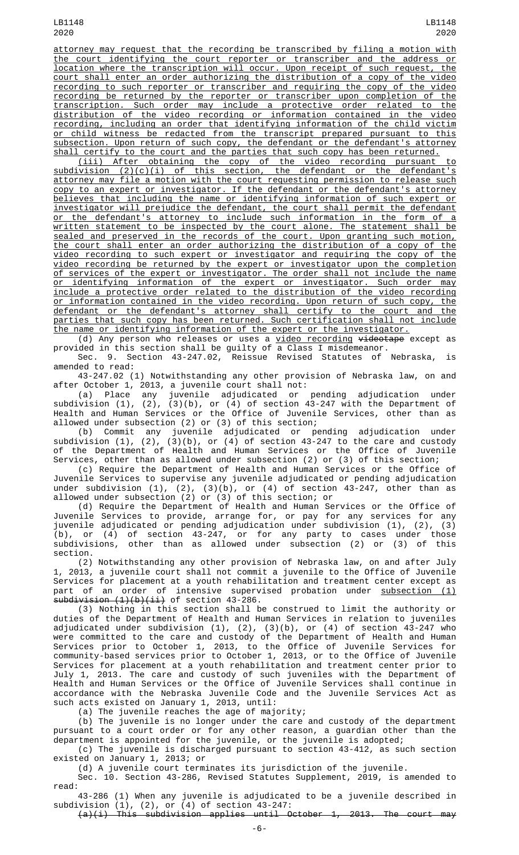LB1148 2020

attorney may request that the recording be transcribed by filing a motion with the court identifying the court reporter or transcriber and the address or location where the transcription will occur. Upon receipt of such request, the court shall enter an order authorizing the distribution of a copy of the video recording to such reporter or transcriber and requiring the copy of the video recording be returned by the reporter or transcriber upon completion of the transcription. Such order may include a protective order related to the distribution of the video recording or information contained in the video recording, including an order that identifying information of the child victim or child witness be redacted from the transcript prepared pursuant to this subsection. Upon return of such copy, the defendant or the defendant's attorney shall certify to the court and the parties that such copy has been returned.

(iii) After obtaining the copy of the video recording pursuant to subdivision (2)(c)(i) of this section, the defendant or the defendant's attorney may file a motion with the court requesting permission to release such copy to an expert or investigator. If the defendant or the defendant's attorney believes that including the name or identifying information of such expert or investigator will prejudice the defendant, the court shall permit the defendant or the defendant's attorney to include such information in the form of a written statement to be inspected by the court alone. The statement shall be sealed and preserved in the records of the court. Upon granting such motion, the court shall enter an order authorizing the distribution of a copy of the video recording to such expert or investigator and requiring the copy of the video recording be returned by the expert or investigator upon the completion of services of the expert or investigator. The order shall not include the name or identifying information of the expert or investigator. Such order may include a protective order related to the distribution of the video recording or information contained in the video recording. Upon return of such copy, the defendant or the defendant's attorney shall certify to the court and the parties that such copy has been returned. Such certification shall not include the name or identifying information of the expert or the investigator.

(d) Any person who releases or uses a <u>video recording <del>videotape</del> except</u> as provided in this section shall be guilty of a Class I misdemeanor.

Sec. 9. Section 43-247.02, Reissue Revised Statutes of Nebraska, is amended to read:

43-247.02 (1) Notwithstanding any other provision of Nebraska law, on and after October 1, 2013, a juvenile court shall not:

(a) Place any juvenile adjudicated or pending adjudication under subdivision (1), (2), (3)(b), or (4) of section 43-247 with the Department of Health and Human Services or the Office of Juvenile Services, other than as allowed under subsection (2) or (3) of this section;

(b) Commit any juvenile adjudicated or pending adjudication under subdivision (1), (2), (3)(b), or (4) of section 43-247 to the care and custody of the Department of Health and Human Services or the Office of Juvenile Services, other than as allowed under subsection (2) or (3) of this section;

(c) Require the Department of Health and Human Services or the Office of Juvenile Services to supervise any juvenile adjudicated or pending adjudication under subdivision (1), (2), (3)(b), or (4) of section 43-247, other than as allowed under subsection (2) or (3) of this section; or

(d) Require the Department of Health and Human Services or the Office of Juvenile Services to provide, arrange for, or pay for any services for any juvenile adjudicated or pending adjudication under subdivision (1), (2), (3) (b), or (4) of section 43-247, or for any party to cases under those subdivisions, other than as allowed under subsection (2) or (3) of this section.

(2) Notwithstanding any other provision of Nebraska law, on and after July 1, 2013, a juvenile court shall not commit a juvenile to the Office of Juvenile Services for placement at a youth rehabilitation and treatment center except as part of an order of intensive supervised probation under <u>subsection (1)</u> subdivision (1)(b)(ii) of section 43-286.

(3) Nothing in this section shall be construed to limit the authority or duties of the Department of Health and Human Services in relation to juveniles adjudicated under subdivision (1), (2), (3)(b), or (4) of section 43-247 who were committed to the care and custody of the Department of Health and Human Services prior to October 1, 2013, to the Office of Juvenile Services for community-based services prior to October 1, 2013, or to the Office of Juvenile Services for placement at a youth rehabilitation and treatment center prior to July 1, 2013. The care and custody of such juveniles with the Department of Health and Human Services or the Office of Juvenile Services shall continue in accordance with the Nebraska Juvenile Code and the Juvenile Services Act as such acts existed on January 1, 2013, until:

(a) The juvenile reaches the age of majority;

(b) The juvenile is no longer under the care and custody of the department pursuant to a court order or for any other reason, a guardian other than the department is appointed for the juvenile, or the juvenile is adopted;

(c) The juvenile is discharged pursuant to section 43-412, as such section existed on January 1, 2013; or

(d) A juvenile court terminates its jurisdiction of the juvenile.

Sec. 10. Section 43-286, Revised Statutes Supplement, 2019, is amended to read:

43-286 (1) When any juvenile is adjudicated to be a juvenile described in subdivision (1), (2), or (4) of section 43-247:

(a)(i) This subdivision applies until October 1, 2013. The court may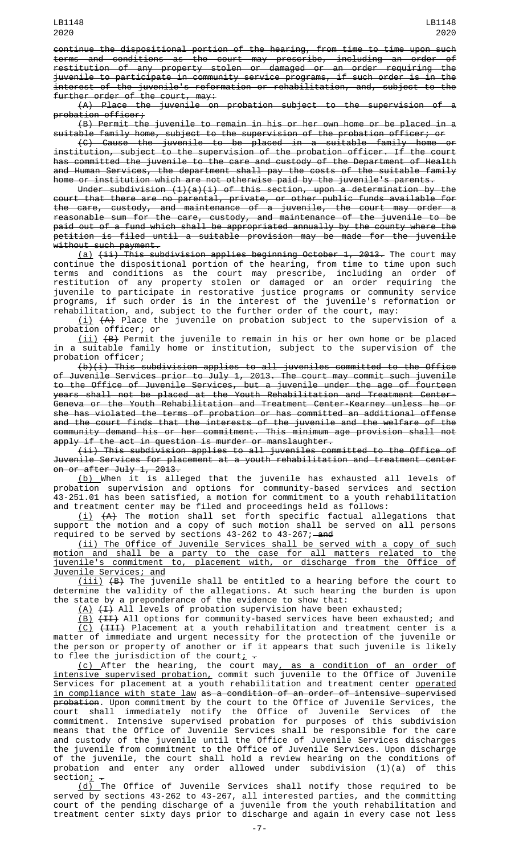continue the dispositional portion of the hearing, from time to time upon such terms and conditions as the court may prescribe, including an order of restitution of any property stolen or damaged or an order requiring the juvenile to participate in community service programs, if such order is in the interest of the juvenile's reformation or rehabilitation, and, subject to the further order of the court, may:

(A) Place the juvenile on probation subject to the supervision of a probation officer;

(B) Permit the juvenile to remain in his or her own home or be placed in a suitable family home, subject to the supervision of the probation officer; or

(C) Cause the juvenile to be placed in a suitable family home or institution, subject to the supervision of the probation officer. If the court has committed the juvenile to the care and custody of the Department of Health and Human Services, the department shall pay the costs of the suitable family home or institution which are not otherwise paid by the juvenile's parents.

Under subdivision  $(1)(a)(i)$  of this section, upon a determination by the court that there are no parental, private, or other public funds available for the care, custody, and maintenance of a juvenile, the court may order a reasonable sum for the care, custody, and maintenance of the juvenile to be paid out of a fund which shall be appropriated annually by the county where the petition is filed until a suitable provision may be made for the juvenile without such payment.

<u>(a)</u> <del>(ii) This subdivision applies beginning October 1, 2013.</del> The court may continue the dispositional portion of the hearing, from time to time upon such terms and conditions as the court may prescribe, including an order of restitution of any property stolen or damaged or an order requiring the juvenile to participate in restorative justice programs or community service programs, if such order is in the interest of the juvenile's reformation or rehabilitation, and, subject to the further order of the court, may:

(i)  $\left( \texttt{A} \right)$  Place the juvenile on probation subject to the supervision of a probation officer; or

(ii) (B) Permit the juvenile to remain in his or her own home or be placed in a suitable family home or institution, subject to the supervision of the probation officer;

 $(b)(i)$  This subdivision applies to all juveniles committed to the Office of Juvenile Services prior to July 1, 2013. The court may commit such juvenile to the Office of Juvenile Services, but a juvenile under the age of fourteen years shall not be placed at the Youth Rehabilitation and Treatment Center-Geneva or the Youth Rehabilitation and Treatment Center-Kearney unless he or she has violated the terms of probation or has committed an additional offense and the court finds that the interests of the juvenile and the welfare of the community demand his or her commitment. This minimum age provision shall not apply if the act in question is murder or manslaughter.

(ii) This subdivision applies to all juveniles committed to the Office of Juvenile Services for placement at a youth rehabilitation and treatment center on or after July 1, 2013.

(b) When it is alleged that the juvenile has exhausted all levels of probation supervision and options for community-based services and section 43-251.01 has been satisfied, a motion for commitment to a youth rehabilitation and treatment center may be filed and proceedings held as follows:

 $(\dot{\bot})$   $\{ {\sf A}\}$  The motion shall set forth specific factual allegations that support the motion and a copy of such motion shall be served on all persons required to be served by sections 43-262 to 43-267;—<del>and</del>

(ii) The Office of Juvenile Services shall be served with a copy of such motion and shall be a party to the case for all matters related to the juvenile's commitment to, placement with, or discharge from the Office of Juvenile Services; and

(iii) (B) The juvenile shall be entitled to a hearing before the court to determine the validity of the allegations. At such hearing the burden is upon the state by a preponderance of the evidence to show that:

 $(A)$   $(H)$  All levels of probation supervision have been exhausted;

<u>(B)</u> <del>(II)</del> All options for community-based services have been exhausted; and (C) (III) Placement at a youth rehabilitation and treatment center is a matter of immediate and urgent necessity for the protection of the juvenile or the person or property of another or if it appears that such juvenile is likely to flee the jurisdiction of the court<u>;</u>  $\texttt{-}$ 

(c) After the hearing, the court may, as a condition of an order of intensive supervised probation, commit such juvenile to the Office of Juvenile Services for placement at a youth rehabilitation and treatment center <u>operated</u> in compliance with state law as a condition of an order of intensive supervised <del>probation</del>. Upon commitment by the court to the Office of Juvenile Services, the court shall immediately notify the Office of Juvenile Services of the commitment. Intensive supervised probation for purposes of this subdivision means that the Office of Juvenile Services shall be responsible for the care and custody of the juvenile until the Office of Juvenile Services discharges the juvenile from commitment to the Office of Juvenile Services. Upon discharge of the juvenile, the court shall hold a review hearing on the conditions of probation and enter any order allowed under subdivision (1)(a) of this  $\frac{1}{\sqrt{2}}$  section:

(d) The Office of Juvenile Services shall notify those required to be served by sections 43-262 to 43-267, all interested parties, and the committing court of the pending discharge of a juvenile from the youth rehabilitation and treatment center sixty days prior to discharge and again in every case not less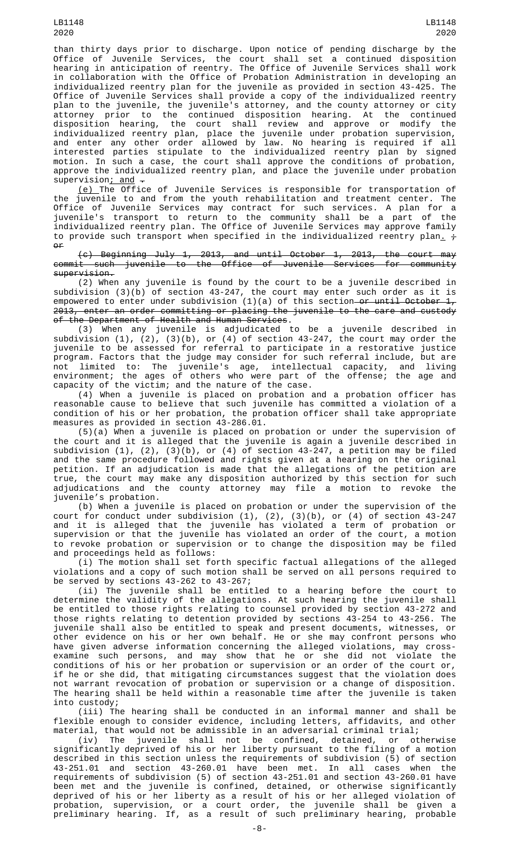than thirty days prior to discharge. Upon notice of pending discharge by the Office of Juvenile Services, the court shall set a continued disposition hearing in anticipation of reentry. The Office of Juvenile Services shall work in collaboration with the Office of Probation Administration in developing an individualized reentry plan for the juvenile as provided in section 43-425. The Office of Juvenile Services shall provide a copy of the individualized reentry plan to the juvenile, the juvenile's attorney, and the county attorney or city attorney prior to the continued disposition hearing. At the continued disposition hearing, the court shall review and approve or modify the individualized reentry plan, place the juvenile under probation supervision, and enter any other order allowed by law. No hearing is required if all interested parties stipulate to the individualized reentry plan by signed motion. In such a case, the court shall approve the conditions of probation, approve the individualized reentry plan, and place the juvenile under probation supervision; and  $-$ 

<u>(e) </u>The Office of Juvenile Services is responsible for transportation of the juvenile to and from the youth rehabilitation and treatment center. The Office of Juvenile Services may contract for such services. A plan for a juvenile's transport to return to the community shall be a part of the individualized reentry plan. The Office of Juvenile Services may approve family to provide such transport when specified in the individualized reentry plan.  $\frac{1}{t}$  $\theta$ 

(c) Beginning July 1, 2013, and until October 1, 2013, the court may commit such juvenile to the Office of Juvenile Services for community supervision.

(2) When any juvenile is found by the court to be a juvenile described in subdivision (3)(b) of section 43-247, the court may enter such order as it is empowered to enter under subdivision (1)(a) of this section—<del>or until October 1,</del>  $2013$ , enter an order committing or placing the juvenile to the care and custody<br>of the Department of Health and Human Services. of the Department of Health and Human Services.

(3) When any juvenile is adjudicated to be a juvenile described in subdivision (1), (2), (3)(b), or (4) of section 43-247, the court may order the juvenile to be assessed for referral to participate in a restorative justice program. Factors that the judge may consider for such referral include, but are not limited to: The juvenile's age, intellectual capacity, and living environment; the ages of others who were part of the offense; the age and capacity of the victim; and the nature of the case.

(4) When a juvenile is placed on probation and a probation officer has reasonable cause to believe that such juvenile has committed a violation of a condition of his or her probation, the probation officer shall take appropriate measures as provided in section 43-286.01.

(5)(a) When a juvenile is placed on probation or under the supervision of the court and it is alleged that the juvenile is again a juvenile described in subdivision (1), (2), (3)(b), or (4) of section 43-247, a petition may be filed and the same procedure followed and rights given at a hearing on the original petition. If an adjudication is made that the allegations of the petition are true, the court may make any disposition authorized by this section for such adjudications and the county attorney may file a motion to revoke the juvenile's probation.

(b) When a juvenile is placed on probation or under the supervision of the court for conduct under subdivision (1), (2), (3)(b), or (4) of section 43-247 and it is alleged that the juvenile has violated a term of probation or supervision or that the juvenile has violated an order of the court, a motion to revoke probation or supervision or to change the disposition may be filed and proceedings held as follows:

(i) The motion shall set forth specific factual allegations of the alleged violations and a copy of such motion shall be served on all persons required to be served by sections 43-262 to 43-267;

(ii) The juvenile shall be entitled to a hearing before the court to determine the validity of the allegations. At such hearing the juvenile shall be entitled to those rights relating to counsel provided by section 43-272 and those rights relating to detention provided by sections 43-254 to 43-256. The juvenile shall also be entitled to speak and present documents, witnesses, or other evidence on his or her own behalf. He or she may confront persons who have given adverse information concerning the alleged violations, may crossexamine such persons, and may show that he or she did not violate the conditions of his or her probation or supervision or an order of the court or, if he or she did, that mitigating circumstances suggest that the violation does not warrant revocation of probation or supervision or a change of disposition. The hearing shall be held within a reasonable time after the juvenile is taken into custody;

(iii) The hearing shall be conducted in an informal manner and shall be flexible enough to consider evidence, including letters, affidavits, and other material, that would not be admissible in an adversarial criminal trial;

(iv) The juvenile shall not be confined, detained, or otherwise significantly deprived of his or her liberty pursuant to the filing of a motion described in this section unless the requirements of subdivision (5) of section 43-251.01 and section 43-260.01 have been met. In all cases when the requirements of subdivision (5) of section 43-251.01 and section 43-260.01 have been met and the juvenile is confined, detained, or otherwise significantly deprived of his or her liberty as a result of his or her alleged violation of probation, supervision, or a court order, the juvenile shall be given a preliminary hearing. If, as a result of such preliminary hearing, probable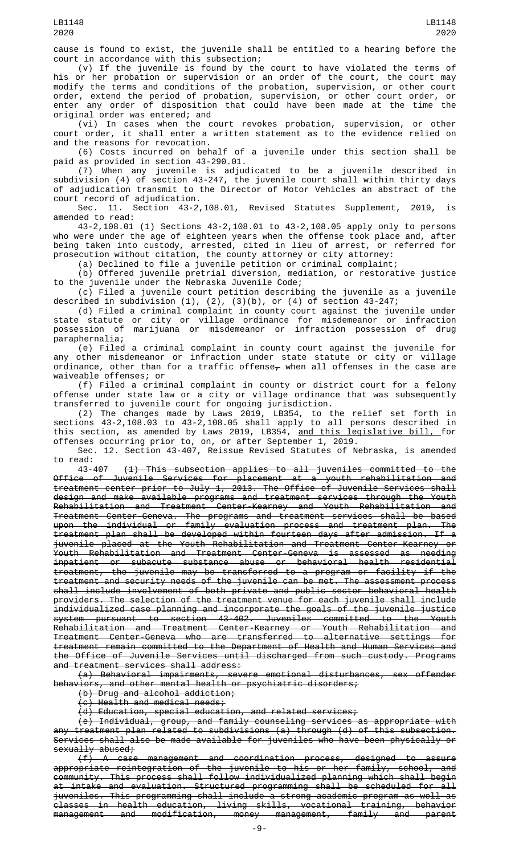cause is found to exist, the juvenile shall be entitled to a hearing before the court in accordance with this subsection;

(v) If the juvenile is found by the court to have violated the terms of his or her probation or supervision or an order of the court, the court may modify the terms and conditions of the probation, supervision, or other court order, extend the period of probation, supervision, or other court order, or enter any order of disposition that could have been made at the time the original order was entered; and

(vi) In cases when the court revokes probation, supervision, or other court order, it shall enter a written statement as to the evidence relied on and the reasons for revocation.

(6) Costs incurred on behalf of a juvenile under this section shall be paid as provided in section 43-290.01.

(7) When any juvenile is adjudicated to be a juvenile described in subdivision (4) of section 43-247, the juvenile court shall within thirty days of adjudication transmit to the Director of Motor Vehicles an abstract of the court record of adjudication.

Sec. 11. Section 43-2,108.01, Revised Statutes Supplement, 2019, is amended to read:

43-2,108.01 (1) Sections 43-2,108.01 to 43-2,108.05 apply only to persons who were under the age of eighteen years when the offense took place and, after being taken into custody, arrested, cited in lieu of arrest, or referred for prosecution without citation, the county attorney or city attorney:

(a) Declined to file a juvenile petition or criminal complaint;

(b) Offered juvenile pretrial diversion, mediation, or restorative justice to the juvenile under the Nebraska Juvenile Code;

(c) Filed a juvenile court petition describing the juvenile as a juvenile described in subdivision (1), (2), (3)(b), or (4) of section 43-247;

(d) Filed a criminal complaint in county court against the juvenile under state statute or city or village ordinance for misdemeanor or infraction possession of marijuana or misdemeanor or infraction possession of drug paraphernalia;

(e) Filed a criminal complaint in county court against the juvenile for any other misdemeanor or infraction under state statute or city or village ordinance, other than for a traffic offense $_\mathcal{T}$  when all offenses in the case are waiveable offenses; or

(f) Filed a criminal complaint in county or district court for a felony offense under state law or a city or village ordinance that was subsequently transferred to juvenile court for ongoing jurisdiction.

(2) The changes made by Laws 2019, LB354, to the relief set forth in sections 43-2,108.03 to 43-2,108.05 shall apply to all persons described in this section, as amended by Laws 2019, LB354, <u>and this legislative bill, </u>for offenses occurring prior to, on, or after September 1, 2019.

Sec. 12. Section 43-407, Reissue Revised Statutes of Nebraska, is amended to read:<br>43-407

 $(1)$  This subsection applies to all juveniles committed to the Office of Juvenile Services for placement at a youth rehabilitation and treatment center prior to July 1, 2013. The Office of Juvenile Services shall design and make available programs and treatment services through the Youth Rehabilitation and Treatment Center-Kearney and Youth Rehabilitation and Treatment Center-Geneva. The programs and treatment services shall be based upon the individual or family evaluation process and treatment plan. The treatment plan shall be developed within fourteen days after admission. If a juvenile placed at the Youth Rehabilitation and Treatment Center-Kearney or Youth Rehabilitation and Treatment Center-Geneva is assessed as needing inpatient or subacute substance abuse or behavioral health residential treatment, the juvenile may be transferred to a program or facility if the treatment and security needs of the juvenile can be met. The assessment process shall include involvement of both private and public sector behavioral health providers. The selection of the treatment venue for each juvenile shall include individualized case planning and incorporate the goals of the juvenile justice system pursuant to section 43-402. Juveniles committed to the Youth Rehabilitation and Treatment Center-Kearney or Youth Rehabilitation and Treatment Center-Geneva who are transferred to alternative settings for treatment remain committed to the Department of Health and Human Services and the Office of Juvenile Services until discharged from such custody. Programs and treatment services shall address:

(a) Behavioral impairments, severe emotional disturbances, sex offender behaviors, and other mental health or psychiatric disorders;

(b) Drug and alcohol addiction;

(c) Health and medical needs;

(d) Education, special education, and related services;

(e) Individual, group, and family counseling services as appropriate with any treatment plan related to subdivisions (a) through (d) of this subsection. Services shall also be made available for juveniles who have been physically or sexually abused;

(f) A case management and coordination process, designed to assure appropriate reintegration of the juvenile to his or her family, school, and community. This process shall follow individualized planning which shall begin at intake and evaluation. Structured programming shall be scheduled for all juveniles. This programming shall include a strong academic program as well as classes in health education, living skills, vocational training, behavior management and modification, money management, family and parent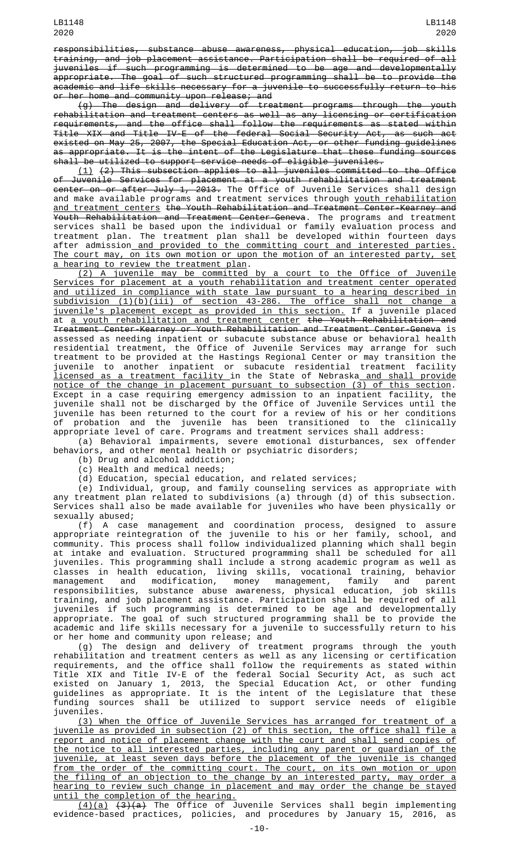responsibilities, substance abuse awareness, physical education, job skills training, and job placement assistance. Participation shall be required of all juveniles if such programming is determined to be age and developmentally appropriate. The goal of such structured programming shall be to provide the academic and life skills necessary for a juvenile to successfully return to his or her home and community upon release; and

(g) The design and delivery of treatment programs through the youth rehabilitation and treatment centers as well as any licensing or certification requirements, and the office shall follow the requirements as stated within Title XIX and Title IV-E of the federal Social Security Act, as such act existed on May 25, 2007, the Special Education Act, or other funding guidelines as appropriate. It is the intent of the Legislature that these funding sources shall be utilized to support service needs of eligible juveniles.

(1) (2) This subsection applies to all juveniles committed to the Office of Juvenile Services for placement at a youth rehabilitation and treatment center on or after July 1, 2013. The Office of Juvenile Services shall design and make available programs and treatment services through youth rehabilitation and treatment centers the Youth Rehabilitation and Treatment Center-Kearney and Youth Rehabilitation and Treatment Center-Geneva. The programs and treatment services shall be based upon the individual or family evaluation process and treatment plan. The treatment plan shall be developed within fourteen days after admission and provided to the committing court and interested parties. The court may, on its own motion or upon the motion of an interested party, set a hearing to review the treatment plan.

(2) A juvenile may be committed by a court to the Office of Juvenile Services for placement at a youth rehabilitation and treatment center operated and utilized in compliance with state law pursuant to a hearing described in subdivision (1)(b)(iii) of section 43-286. The office shall not change a juvenile's placement except as provided in this section. If a juvenile placed at a youth rehabilitation and treatment center the Youth Rehabilitation and Treatment Center-Kearney or Youth Rehabilitation and Treatment Center-Geneva is assessed as needing inpatient or subacute substance abuse or behavioral health residential treatment, the Office of Juvenile Services may arrange for such treatment to be provided at the Hastings Regional Center or may transition the juvenile to another inpatient or subacute residential treatment facility licensed as a treatment facility in the State of Nebraska and shall provide notice of the change in placement pursuant to subsection (3) of this section. Except in a case requiring emergency admission to an inpatient facility, the juvenile shall not be discharged by the Office of Juvenile Services until the juvenile has been returned to the court for a review of his or her conditions of probation and the juvenile has been transitioned to the clinically appropriate level of care. Programs and treatment services shall address:

(a) Behavioral impairments, severe emotional disturbances, sex offender behaviors, and other mental health or psychiatric disorders;

(b) Drug and alcohol addiction;

(c) Health and medical needs;

(d) Education, special education, and related services;

(e) Individual, group, and family counseling services as appropriate with any treatment plan related to subdivisions (a) through (d) of this subsection. Services shall also be made available for juveniles who have been physically or sexually abused;

(f) A case management and coordination process, designed to assure appropriate reintegration of the juvenile to his or her family, school, and community. This process shall follow individualized planning which shall begin at intake and evaluation. Structured programming shall be scheduled for all juveniles. This programming shall include a strong academic program as well as classes in health education, living skills, vocational training, behavior management and modification, money management, family and parent responsibilities, substance abuse awareness, physical education, job skills training, and job placement assistance. Participation shall be required of all juveniles if such programming is determined to be age and developmentally appropriate. The goal of such structured programming shall be to provide the academic and life skills necessary for a juvenile to successfully return to his or her home and community upon release; and

(g) The design and delivery of treatment programs through the youth rehabilitation and treatment centers as well as any licensing or certification requirements, and the office shall follow the requirements as stated within Title XIX and Title IV-E of the federal Social Security Act, as such act existed on January 1, 2013, the Special Education Act, or other funding guidelines as appropriate. It is the intent of the Legislature that these funding sources shall be utilized to support service needs of eligible juveniles.

(3) When the Office of Juvenile Services has arranged for treatment of a juvenile as provided in subsection (2) of this section, the office shall file a report and notice of placement change with the court and shall send copies of the notice to all interested parties, including any parent or guardian of the juvenile, at least seven days before the placement of the juvenile is changed from the order of the committing court. The court, on its own motion or upon the filing of an objection to the change by an interested party, may order a hearing to review such change in placement and may order the change be stayed until the completion of the hearing.

<u>(4)(a)</u> <del>(3)(a)</del> The Office of Juvenile Services shall begin implementing evidence-based practices, policies, and procedures by January 15, 2016, as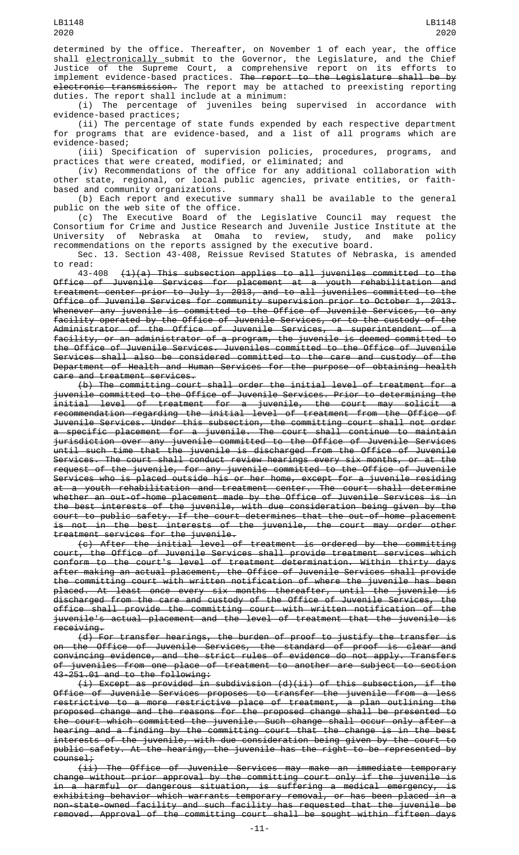determined by the office. Thereafter, on November 1 of each year, the office shall <u>electronically </u>submit to the Governor, the Legislature, and the Chief Justice of the Supreme Court, a comprehensive report on its efforts to implement evidence-based practices. The report to the Legislature shall be by electronic transmission. The report may be attached to preexisting reporting duties. The report shall include at a minimum:

(i) The percentage of juveniles being supervised in accordance with evidence-based practices;

(ii) The percentage of state funds expended by each respective department for programs that are evidence-based, and a list of all programs which are evidence-based;

(iii) Specification of supervision policies, procedures, programs, and practices that were created, modified, or eliminated; and

(iv) Recommendations of the office for any additional collaboration with other state, regional, or local public agencies, private entities, or faithbased and community organizations.

(b) Each report and executive summary shall be available to the general public on the web site of the office.

(c) The Executive Board of the Legislative Council may request the Consortium for Crime and Justice Research and Juvenile Justice Institute at the University of Nebraska at Omaha to review, study, and make policy recommendations on the reports assigned by the executive board.

Sec. 13. Section 43-408, Reissue Revised Statutes of Nebraska, is amended to read:

 $(1)(a)$  This subsection applies to all juveniles committed to the Office of Juvenile Services for placement at a youth rehabilitation and treatment center prior to July 1, 2013, and to all juveniles committed to the Office of Juvenile Services for community supervision prior to October 1, 2013. Whenever any juvenile is committed to the Office of Juvenile Services, to any facility operated by the Office of Juvenile Services, or to the custody of Administrator of the Office of Juvenile Services, a superintendent of a facility, or an administrator of a program, the juvenile is deemed committed to the Office of Juvenile Services. Juveniles committed to the Office of Juvenile Services shall also be considered committed to the care and custody of the Department of Health and Human Services for the purpose of obtaining health care and treatment services.

(b) The committing court shall order the initial level of treatment for a juvenile committed to the Office of Juvenile Services. Prior to determining the initial level of treatment for a juvenile, the court may solicit a recommendation regarding the initial level of treatment from the Office of Juvenile Services. Under this subsection, the committing court shall not order a specific placement for a juvenile. The court shall continue to maintain jurisdiction over any juvenile committed to the Office of Juvenile Services until such time that the juvenile is discharged from the Office of Juvenile Services. The court shall conduct review hearings every six months, or at the request of the juvenile, for any juvenile committed to the Office of Juvenile Services who is placed outside his or her home, except for a juvenile residing at a youth rehabilitation and treatment center. The court shall determine whether an out-of-home placement made by the Office of Juvenile Services is in the best interests of the juvenile, with due consideration being given by the court to public safety. If the court determines that the out-of-home placement is not in the best interests of the juvenile, the court may order other treatment services for the juvenile.

(c) After the initial level of treatment is ordered by the committing court, the Office of Juvenile Services shall provide treatment services which conform to the court's level of treatment determination. Within thirty days after making an actual placement, the Office of Juvenile Services shall provide the committing court with written notification of where the juvenile has been placed. At least once every six months thereafter, until the juvenile is discharged from the care and custody of the Office of Juvenile Services, the office shall provide the committing court with written notification of the juvenile's actual placement and the level of treatment that the juvenile is receiving.

(d) For transfer hearings, the burden of proof to justify the transfer is on the Office of Juvenile Services, the standard of proof is clear and convincing evidence, and the strict rules of evidence do not apply. Transfers of juveniles from one place of treatment to another are subject to section 43-251.01 and to the following:

(i) Except as provided in subdivision (d)(ii) of this subsection, if the Office of Juvenile Services proposes to transfer the juvenile from a less restrictive to a more restrictive place of treatment, a plan outlining the proposed change and the reasons for the proposed change shall be presented to the court which committed the juvenile. Such change shall occur only after a hearing and a finding by the committing court that the change is in the best interests of the juvenile, with due consideration being given by the court to public safety. At the hearing, the juvenile has the right to be represented by counsel;

 $(iii)$  The Office of Juvenile Services may make an immediate temporary change without prior approval by the committing court only if the juvenile is in a harmful or dangerous situation, is suffering a medical emergency, is exhibiting behavior which warrants temporary removal, or has been placed in a non-state-owned facility and such facility has requested that the juvenile be removed. Approval of the committing court shall be sought within fifteen days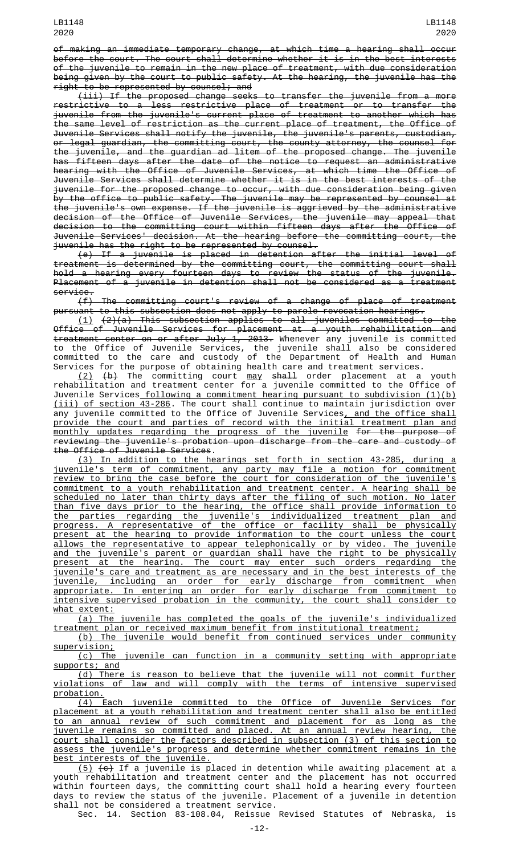of making an immediate temporary change, at which time a hearing shall occur before the court. The court shall determine whether it is in the best interests of the juvenile to remain in the new place of treatment, with due consideration being given by the court to public safety. At the hearing, the juvenile has the right to be represented by counsel; and

(iii) If the proposed change seeks to transfer the juvenile from a more restrictive to a less restrictive place of treatment or to transfer the juvenile from the juvenile's current place of treatment to another which has the same level of restriction as the current place of treatment, the Office of Juvenile Services shall notify the juvenile, the juvenile's parents, custodian, or legal guardian, the committing court, the county attorney, the counsel for the juvenile, and the guardian ad litem of the proposed change. The juvenile has fifteen days after the date of the notice to request an administrative hearing with the Office of Juvenile Services, at which time the Office of Juvenile Services shall determine whether it is in the best interests of the juvenile for the proposed change to occur, with due consideration being given by the office to public safety. The juvenile may be represented by counsel at the juvenile's own expense. If the juvenile is aggrieved by the administrative decision of the Office of Juvenile Services, the juvenile may appeal that decision to the committing court within fifteen days after the Office of Juvenile Services' decision. At the hearing before the committing court, the juvenile has the right to be represented by counsel.

(e) If a juvenile is placed in detention after the initial level of treatment is determined by the committing court, the committing court shall hold a hearing every fourteen days to review the status of the juvenile. Placement of a juvenile in detention shall not be considered as a treatment service.

(f) The committing court's review of a change of place of treatment pursuant to this subsection does not apply to parole revocation hearings.

(1) (2)(a) This subsection applies to all juveniles committed to the Office of Juvenile Services for placement at a youth rehabilitation and treatment center on or after July 1, 2013. Whenever any juvenile is committed to the Office of Juvenile Services, the juvenile shall also be considered committed to the care and custody of the Department of Health and Human Services for the purpose of obtaining health care and treatment services.

<u>(2)</u> <del>(b)</del> The committing court <u>may <del>shall</del> order placement at a youth</u> rehabilitation and treatment center for a juvenile committed to the Office of Juvenile Services following a commitment hearing pursuant to subdivision (1)(b) (iii) of section 43-286. The court shall continue to maintain jurisdiction over any juvenile committed to the Office of Juvenile Services, and the office shall provide the court and parties of record with the initial treatment plan and monthly updates regarding the progress of the juvenile for the purpose of reviewing the juvenile's probation upon discharge from the care and custody of the Office of Juvenile Services.

(3) In addition to the hearings set forth in section 43-285, during a juvenile's term of commitment, any party may file a motion for commitment review to bring the case before the court for consideration of the juvenile's commitment to a youth rehabilitation and treatment center. A hearing shall be scheduled no later than thirty days after the filing of such motion. No later than five days prior to the hearing, the office shall provide information to the parties regarding the juvenile's individualized treatment plan and progress. A representative of the office or facility shall be physically present at the hearing to provide information to the court unless the court allows the representative to appear telephonically or by video. The juvenile and the juvenile's parent or guardian shall have the right to be physically present at the hearing. The court may enter such orders regarding the juvenile's care and treatment as are necessary and in the best interests of the juvenile, including an order for early discharge from commitment when appropriate. In entering an order for early discharge from commitment to intensive supervised probation in the community, the court shall consider to what extent:

(a) The juvenile has completed the goals of the juvenile's individualized treatment plan or received maximum benefit from institutional treatment;

(b) The juvenile would benefit from continued services under community supervision;

(c) The juvenile can function in a community setting with appropriate supports; and

(d) There is reason to believe that the juvenile will not commit further violations of law and will comply with the terms of intensive supervised probation.

(4) Each juvenile committed to the Office of Juvenile Services for placement at a youth rehabilitation and treatment center shall also be entitled to an annual review of such commitment and placement for as long as the juvenile remains so committed and placed. At an annual review hearing, the court shall consider the factors described in subsection (3) of this section to assess the juvenile's progress and determine whether commitment remains in the best interests of the juvenile.

<u>(5)</u> <del>(c)</del> If a juvenile is placed in detention while awaiting placement at a youth rehabilitation and treatment center and the placement has not occurred within fourteen days, the committing court shall hold a hearing every fourteen days to review the status of the juvenile. Placement of a juvenile in detention shall not be considered a treatment service.

Sec. 14. Section 83-108.04, Reissue Revised Statutes of Nebraska, is